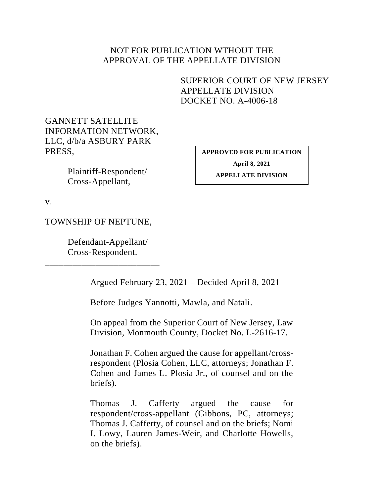# NOT FOR PUBLICATION WTHOUT THE APPROVAL OF THE APPELLATE DIVISION

<span id="page-0-0"></span>SUPERIOR COURT OF NEW JERSEY APPELLATE DIVISION DOCKET NO. A-4006-18

GANNETT SATELLITE INFORMATION NETWORK, LLC, d/b/a ASBURY PARK PRESS,

> Plaintiff-Respondent/ Cross-Appellant,

**APPROVED FOR PUBLICATION April 8, 2021 APPELLATE DIVISION**

v.

TOWNSHIP OF NEPTUNE,

Defendant-Appellant/ Cross-Respondent.

\_\_\_\_\_\_\_\_\_\_\_\_\_\_\_\_\_\_\_\_\_\_\_\_\_

Argued February 23, 2021 – Decided April 8, 2021

Before Judges Yannotti, Mawla, and Natali.

On appeal from the Superior Court of New Jersey, Law Division, Monmouth County, Docket No. L-2616-17.

Jonathan F. Cohen argued the cause for appellant/crossrespondent (Plosia Cohen, LLC, attorneys; Jonathan F. Cohen and James L. Plosia Jr., of counsel and on the briefs).

Thomas J. Cafferty argued the cause for respondent/cross-appellant (Gibbons, PC, attorneys; Thomas J. Cafferty, of counsel and on the briefs; Nomi I. Lowy, Lauren James-Weir, and Charlotte Howells, on the briefs).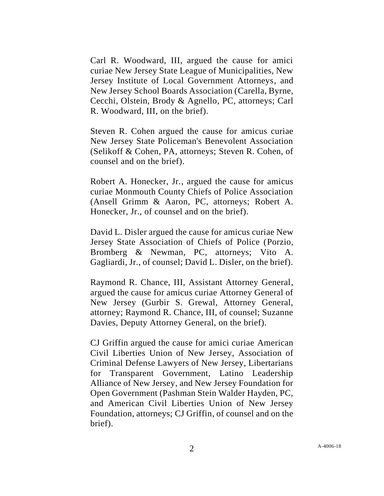Carl R. Woodward, III, argued the cause for amici curiae New Jersey State League of Municipalities, New Jersey Institute of Local Government Attorneys, and New Jersey School Boards Association (Carella, Byrne, Cecchi, Olstein, Brody & Agnello, PC, attorneys; Carl R. Woodward, III, on the brief).

Steven R. Cohen argued the cause for amicus curiae New Jersey State Policeman's Benevolent Association (Selikoff & Cohen, PA, attorneys; Steven R. Cohen, of counsel and on the brief).

Robert A. Honecker, Jr., argued the cause for amicus curiae Monmouth County Chiefs of Police Association (Ansell Grimm & Aaron, PC, attorneys; Robert A. Honecker, Jr., of counsel and on the brief).

David L. Disler argued the cause for amicus curiae New Jersey State Association of Chiefs of Police (Porzio, Bromberg & Newman, PC, attorneys; Vito A. Gagliardi, Jr., of counsel; David L. Disler, on the brief).

Raymond R. Chance, III, Assistant Attorney General, argued the cause for amicus curiae Attorney General of New Jersey (Gurbir S. Grewal, Attorney General, attorney; Raymond R. Chance, III, of counsel; Suzanne Davies, Deputy Attorney General, on the brief).

CJ Griffin argued the cause for amici curiae American Civil Liberties Union of New Jersey, Association of Criminal Defense Lawyers of New Jersey, Libertarians for Transparent Government, Latino Leadership Alliance of New Jersey, and New Jersey Foundation for Open Government (Pashman Stein Walder Hayden, PC, and American Civil Liberties Union of New Jersey Foundation, attorneys; CJ Griffin, of counsel and on the brief).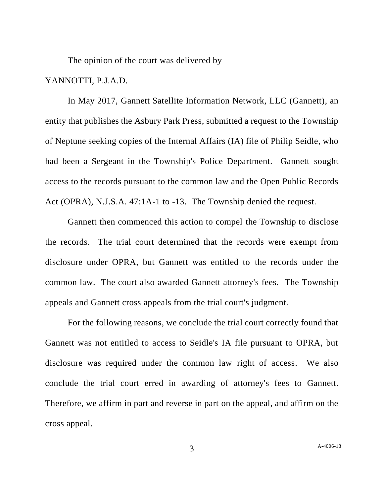The opinion of the court was delivered by

# YANNOTTI, P.J.A.D.

In May 2017, Gannett Satellite Information Network, LLC (Gannett), an entity that publishes the Asbury Park Press, submitted a request to the Township of Neptune seeking copies of the Internal Affairs (IA) file of Philip Seidle, who had been a Sergeant in the Township's Police Department. Gannett sought access to the records pursuant to the common law and the Open Public Records Act (OPRA), N.J.S.A. 47:1A-1 to -13. The Township denied the request.

Gannett then commenced this action to compel the Township to disclose the records. The trial court determined that the records were exempt from disclosure under OPRA, but Gannett was entitled to the records under the common law. The court also awarded Gannett attorney's fees. The Township appeals and Gannett cross appeals from the trial court's judgment.

For the following reasons, we conclude the trial court correctly found that Gannett was not entitled to access to Seidle's IA file pursuant to OPRA, but disclosure was required under the common law right of access. We also conclude the trial court erred in awarding of attorney's fees to Gannett. Therefore, we affirm in part and reverse in part on the appeal, and affirm on the cross appeal.

3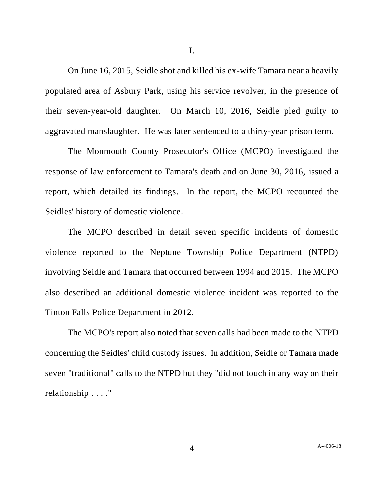On June 16, 2015, Seidle shot and killed his ex-wife Tamara near a heavily populated area of Asbury Park, using his service revolver, in the presence of their seven-year-old daughter. On March 10, 2016, Seidle pled guilty to aggravated manslaughter. He was later sentenced to a thirty-year prison term.

The Monmouth County Prosecutor's Office (MCPO) investigated the response of law enforcement to Tamara's death and on June 30, 2016, issued a report, which detailed its findings. In the report, the MCPO recounted the Seidles' history of domestic violence.

The MCPO described in detail seven specific incidents of domestic violence reported to the Neptune Township Police Department (NTPD) involving Seidle and Tamara that occurred between 1994 and 2015. The MCPO also described an additional domestic violence incident was reported to the Tinton Falls Police Department in 2012.

The MCPO's report also noted that seven calls had been made to the NTPD concerning the Seidles' child custody issues. In addition, Seidle or Tamara made seven "traditional" calls to the NTPD but they "did not touch in any way on their relationship . . . ."

I.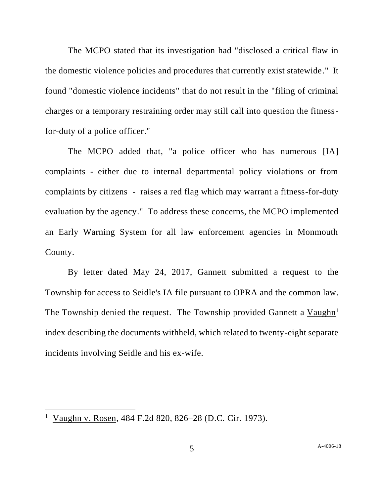The MCPO stated that its investigation had "disclosed a critical flaw in the domestic violence policies and procedures that currently exist statewide." It found "domestic violence incidents" that do not result in the "filing of criminal charges or a temporary restraining order may still call into question the fitnessfor-duty of a police officer."

The MCPO added that, "a police officer who has numerous [IA] complaints - either due to internal departmental policy violations or from complaints by citizens - raises a red flag which may warrant a fitness-for-duty evaluation by the agency." To address these concerns, the MCPO implemented an Early Warning System for all law enforcement agencies in Monmouth County.

By letter dated May 24, 2017, Gannett submitted a request to the Township for access to Seidle's IA file pursuant to OPRA and the common law. The Township denied the request. The Township provided Gannett a  $Vaughn<sup>1</sup>$ index describing the documents withheld, which related to twenty-eight separate incidents involving Seidle and his ex-wife.

<sup>&</sup>lt;sup>1</sup> Vaughn v. Rosen, 484 F.2d 820, 826–28 (D.C. Cir. 1973).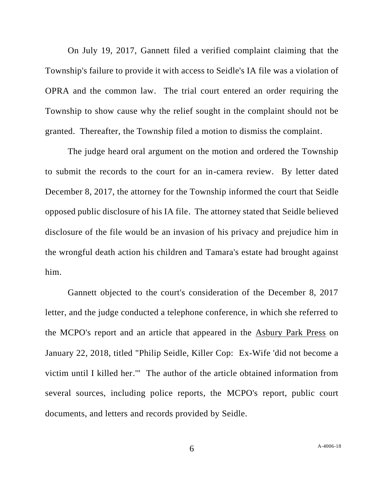On July 19, 2017, Gannett filed a verified complaint claiming that the Township's failure to provide it with access to Seidle's IA file was a violation of OPRA and the common law. The trial court entered an order requiring the Township to show cause why the relief sought in the complaint should not be granted. Thereafter, the Township filed a motion to dismiss the complaint.

The judge heard oral argument on the motion and ordered the Township to submit the records to the court for an in-camera review. By letter dated December 8, 2017, the attorney for the Township informed the court that Seidle opposed public disclosure of his IA file. The attorney stated that Seidle believed disclosure of the file would be an invasion of his privacy and prejudice him in the wrongful death action his children and Tamara's estate had brought against him.

Gannett objected to the court's consideration of the December 8, 2017 letter, and the judge conducted a telephone conference, in which she referred to the MCPO's report and an article that appeared in the Asbury Park Press on January 22, 2018, titled "Philip Seidle, Killer Cop: Ex-Wife 'did not become a victim until I killed her.'" The author of the article obtained information from several sources, including police reports, the MCPO's report, public court documents, and letters and records provided by Seidle.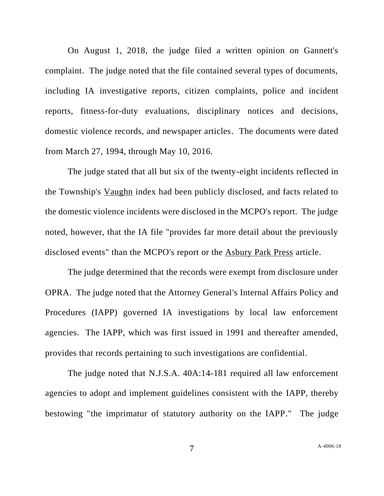On August 1, 2018, the judge filed a written opinion on Gannett's complaint. The judge noted that the file contained several types of documents, including IA investigative reports, citizen complaints, police and incident reports, fitness-for-duty evaluations, disciplinary notices and decisions, domestic violence records, and newspaper articles. The documents were dated from March 27, 1994, through May 10, 2016.

The judge stated that all but six of the twenty-eight incidents reflected in the Township's Vaughn index had been publicly disclosed, and facts related to the domestic violence incidents were disclosed in the MCPO's report. The judge noted, however, that the IA file "provides far more detail about the previously disclosed events" than the MCPO's report or the Asbury Park Press article.

The judge determined that the records were exempt from disclosure under OPRA. The judge noted that the Attorney General's Internal Affairs Policy and Procedures (IAPP) governed IA investigations by local law enforcement agencies. The IAPP, which was first issued in 1991 and thereafter amended, provides that records pertaining to such investigations are confidential.

The judge noted that N.J.S.A. 40A:14-181 required all law enforcement agencies to adopt and implement guidelines consistent with the IAPP, thereby bestowing "the imprimatur of statutory authority on the IAPP." The judge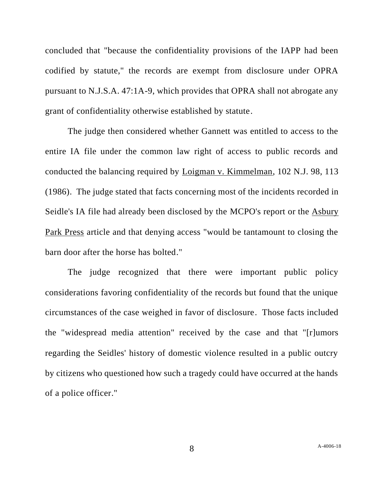concluded that "because the confidentiality provisions of the IAPP had been codified by statute," the records are exempt from disclosure under OPRA pursuant to N.J.S.A. 47:1A-9, which provides that OPRA shall not abrogate any grant of confidentiality otherwise established by statute.

The judge then considered whether Gannett was entitled to access to the entire IA file under the common law right of access to public records and conducted the balancing required by Loigman v. Kimmelman, 102 N.J. 98, 113 (1986). The judge stated that facts concerning most of the incidents recorded in Seidle's IA file had already been disclosed by the MCPO's report or the Asbury Park Press article and that denying access "would be tantamount to closing the barn door after the horse has bolted."

The judge recognized that there were important public policy considerations favoring confidentiality of the records but found that the unique circumstances of the case weighed in favor of disclosure. Those facts included the "widespread media attention" received by the case and that "[r]umors regarding the Seidles' history of domestic violence resulted in a public outcry by citizens who questioned how such a tragedy could have occurred at the hands of a police officer."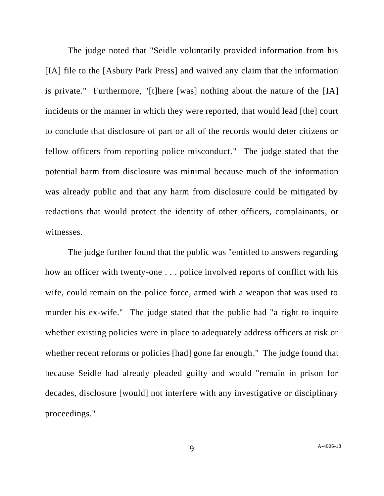The judge noted that "Seidle voluntarily provided information from his [IA] file to the [Asbury Park Press] and waived any claim that the information is private." Furthermore, "[t]here [was] nothing about the nature of the [IA] incidents or the manner in which they were reported, that would lead [the] court to conclude that disclosure of part or all of the records would deter citizens or fellow officers from reporting police misconduct." The judge stated that the potential harm from disclosure was minimal because much of the information was already public and that any harm from disclosure could be mitigated by redactions that would protect the identity of other officers, complainants, or witnesses.

The judge further found that the public was "entitled to answers regarding how an officer with twenty-one . . . police involved reports of conflict with his wife, could remain on the police force, armed with a weapon that was used to murder his ex-wife." The judge stated that the public had "a right to inquire whether existing policies were in place to adequately address officers at risk or whether recent reforms or policies [had] gone far enough." The judge found that because Seidle had already pleaded guilty and would "remain in prison for decades, disclosure [would] not interfere with any investigative or disciplinary proceedings."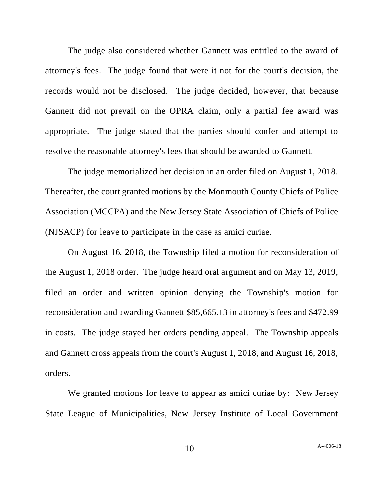The judge also considered whether Gannett was entitled to the award of attorney's fees. The judge found that were it not for the court's decision, the records would not be disclosed. The judge decided, however, that because Gannett did not prevail on the OPRA claim, only a partial fee award was appropriate. The judge stated that the parties should confer and attempt to resolve the reasonable attorney's fees that should be awarded to Gannett.

The judge memorialized her decision in an order filed on August 1, 2018. Thereafter, the court granted motions by the Monmouth County Chiefs of Police Association (MCCPA) and the New Jersey State Association of Chiefs of Police (NJSACP) for leave to participate in the case as amici curiae.

On August 16, 2018, the Township filed a motion for reconsideration of the August 1, 2018 order. The judge heard oral argument and on May 13, 2019, filed an order and written opinion denying the Township's motion for reconsideration and awarding Gannett \$85,665.13 in attorney's fees and \$472.99 in costs. The judge stayed her orders pending appeal. The Township appeals and Gannett cross appeals from the court's August 1, 2018, and August 16, 2018, orders.

We granted motions for leave to appear as amici curiae by: New Jersey State League of Municipalities, New Jersey Institute of Local Government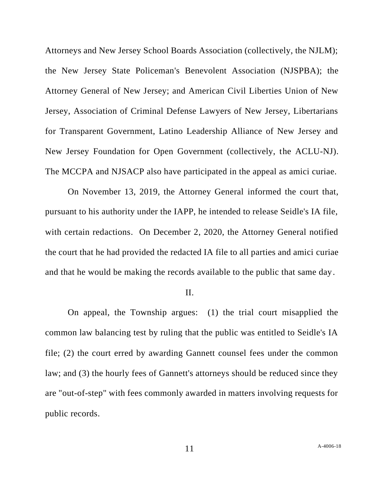Attorneys and New Jersey School Boards Association (collectively, the NJLM); the New Jersey State Policeman's Benevolent Association (NJSPBA); the Attorney General of New Jersey; and American Civil Liberties Union of New Jersey, Association of Criminal Defense Lawyers of New Jersey, Libertarians for Transparent Government, Latino Leadership Alliance of New Jersey and New Jersey Foundation for Open Government (collectively, the ACLU-NJ). The MCCPA and NJSACP also have participated in the appeal as amici curiae.

On November 13, 2019, the Attorney General informed the court that, pursuant to his authority under the IAPP, he intended to release Seidle's IA file, with certain redactions. On December 2, 2020, the Attorney General notified the court that he had provided the redacted IA file to all parties and amici curiae and that he would be making the records available to the public that same day.

#### II.

On appeal, the Township argues: (1) the trial court misapplied the common law balancing test by ruling that the public was entitled to Seidle's IA file; (2) the court erred by awarding Gannett counsel fees under the common law; and (3) the hourly fees of Gannett's attorneys should be reduced since they are "out-of-step" with fees commonly awarded in matters involving requests for public records.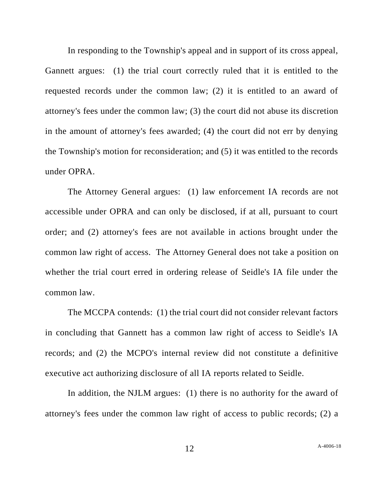In responding to the Township's appeal and in support of its cross appeal, Gannett argues: (1) the trial court correctly ruled that it is entitled to the requested records under the common law; (2) it is entitled to an award of attorney's fees under the common law; (3) the court did not abuse its discretion in the amount of attorney's fees awarded; (4) the court did not err by denying the Township's motion for reconsideration; and (5) it was entitled to the records under OPRA.

The Attorney General argues: (1) law enforcement IA records are not accessible under OPRA and can only be disclosed, if at all, pursuant to court order; and (2) attorney's fees are not available in actions brought under the common law right of access. The Attorney General does not take a position on whether the trial court erred in ordering release of Seidle's IA file under the common law.

The MCCPA contends: (1) the trial court did not consider relevant factors in concluding that Gannett has a common law right of access to Seidle's IA records; and (2) the MCPO's internal review did not constitute a definitive executive act authorizing disclosure of all IA reports related to Seidle.

In addition, the NJLM argues: (1) there is no authority for the award of attorney's fees under the common law right of access to public records; (2) a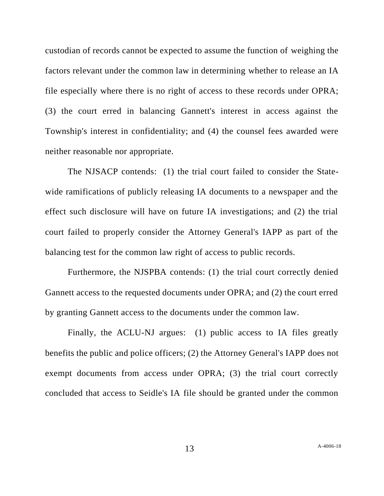custodian of records cannot be expected to assume the function of weighing the factors relevant under the common law in determining whether to release an IA file especially where there is no right of access to these records under OPRA; (3) the court erred in balancing Gannett's interest in access against the Township's interest in confidentiality; and (4) the counsel fees awarded were neither reasonable nor appropriate.

The NJSACP contends: (1) the trial court failed to consider the Statewide ramifications of publicly releasing IA documents to a newspaper and the effect such disclosure will have on future IA investigations; and (2) the trial court failed to properly consider the Attorney General's IAPP as part of the balancing test for the common law right of access to public records.

Furthermore, the NJSPBA contends: (1) the trial court correctly denied Gannett access to the requested documents under OPRA; and (2) the court erred by granting Gannett access to the documents under the common law.

Finally, the ACLU-NJ argues: (1) public access to IA files greatly benefits the public and police officers; (2) the Attorney General's IAPP does not exempt documents from access under OPRA; (3) the trial court correctly concluded that access to Seidle's IA file should be granted under the common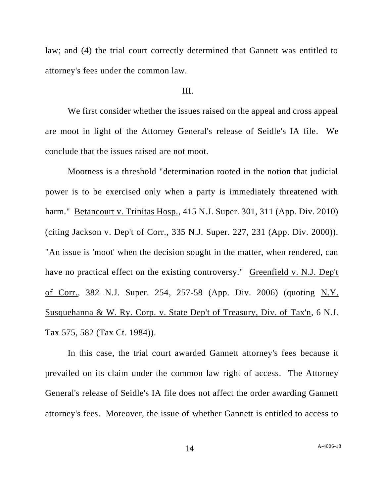law; and (4) the trial court correctly determined that Gannett was entitled to attorney's fees under the common law.

## III.

We first consider whether the issues raised on the appeal and cross appeal are moot in light of the Attorney General's release of Seidle's IA file. We conclude that the issues raised are not moot.

Mootness is a threshold "determination rooted in the notion that judicial power is to be exercised only when a party is immediately threatened with harm." Betancourt v. Trinitas Hosp., 415 N.J. Super. 301, 311 (App. Div. 2010) (citing Jackson v. Dep't of Corr., 335 N.J. Super. 227, 231 (App. Div. 2000)). "An issue is 'moot' when the decision sought in the matter, when rendered, can have no practical effect on the existing controversy." Greenfield v. N.J. Dep't of Corr., 382 N.J. Super. 254, 257-58 (App. Div. 2006) (quoting N.Y. Susquehanna & W. Ry. Corp. v. State Dep't of Treasury, Div. of Tax'n, 6 N.J. Tax 575, 582 (Tax Ct. 1984)).

In this case, the trial court awarded Gannett attorney's fees because it prevailed on its claim under the common law right of access. The Attorney General's release of Seidle's IA file does not affect the order awarding Gannett attorney's fees. Moreover, the issue of whether Gannett is entitled to access to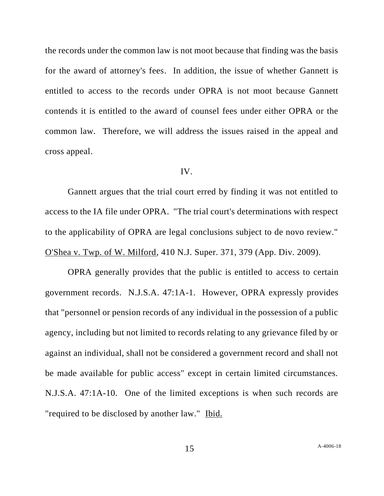the records under the common law is not moot because that finding was the basis for the award of attorney's fees. In addition, the issue of whether Gannett is entitled to access to the records under OPRA is not moot because Gannett contends it is entitled to the award of counsel fees under either OPRA or the common law. Therefore, we will address the issues raised in the appeal and cross appeal.

#### IV.

Gannett argues that the trial court erred by finding it was not entitled to access to the IA file under OPRA. "The trial court's determinations with respect to the applicability of OPRA are legal conclusions subject to de novo review." O'Shea v. Twp. of W. Milford, 410 N.J. Super. 371, 379 (App. Div. 2009).

OPRA generally provides that the public is entitled to access to certain government records. N.J.S.A. 47:1A-1. However, OPRA expressly provides that "personnel or pension records of any individual in the possession of a public agency, including but not limited to records relating to any grievance filed by or against an individual, shall not be considered a government record and shall not be made available for public access" except in certain limited circumstances. N.J.S.A. 47:1A-10. One of the limited exceptions is when such records are "required to be disclosed by another law." Ibid.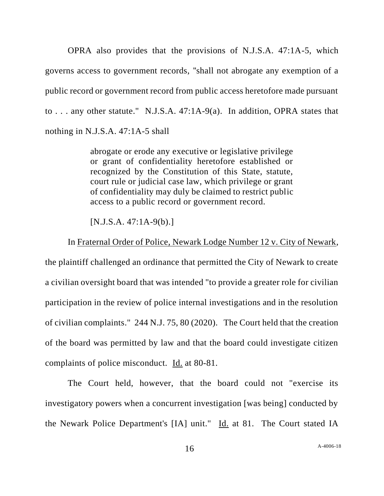OPRA also provides that the provisions of N.J.S.A. 47:1A-5, which governs access to government records, "shall not abrogate any exemption of a public record or government record from public access heretofore made pursuant to . . . any other statute." N.J.S.A. 47:1A-9(a). In addition, OPRA states that nothing in N.J.S.A. 47:1A-5 shall

> abrogate or erode any executive or legislative privilege or grant of confidentiality heretofore established or recognized by the Constitution of this State, statute, court rule or judicial case law, which privilege or grant of confidentiality may duly be claimed to restrict public access to a public record or government record.

[N.J.S.A. 47:1A-9(b).]

In Fraternal Order of Police, Newark Lodge Number 12 v. City of Newark, the plaintiff challenged an ordinance that permitted the City of Newark to create a civilian oversight board that was intended "to provide a greater role for civilian participation in the review of police internal investigations and in the resolution of civilian complaints." 244 N.J. 75, 80 (2020). The Court held that the creation of the board was permitted by law and that the board could investigate citizen complaints of police misconduct. Id. at 80-81.

The Court held, however, that the board could not "exercise its investigatory powers when a concurrent investigation [was being] conducted by the Newark Police Department's [IA] unit." Id. at 81. The Court stated IA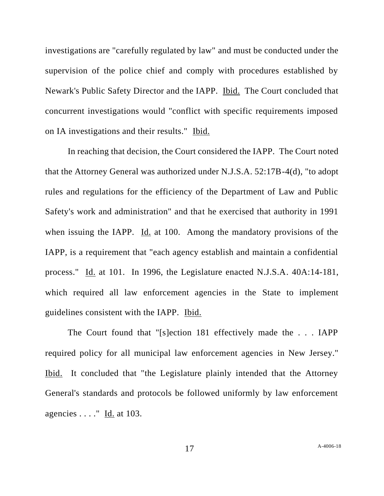investigations are "carefully regulated by law" and must be conducted under the supervision of the police chief and comply with procedures established by Newark's Public Safety Director and the IAPP. Ibid. The Court concluded that concurrent investigations would "conflict with specific requirements imposed on IA investigations and their results." Ibid.

In reaching that decision, the Court considered the IAPP. The Court noted that the Attorney General was authorized under N.J.S.A. 52:17B-4(d), "to adopt rules and regulations for the efficiency of the Department of Law and Public Safety's work and administration" and that he exercised that authority in 1991 when issuing the IAPP. Id. at 100. Among the mandatory provisions of the IAPP, is a requirement that "each agency establish and maintain a confidential process." Id. at 101. In 1996, the Legislature enacted N.J.S.A. 40A:14-181, which required all law enforcement agencies in the State to implement guidelines consistent with the IAPP. Ibid.

The Court found that "[s]ection 181 effectively made the . . . IAPP required policy for all municipal law enforcement agencies in New Jersey." Ibid. It concluded that "the Legislature plainly intended that the Attorney General's standards and protocols be followed uniformly by law enforcement agencies . . . ." Id. at 103.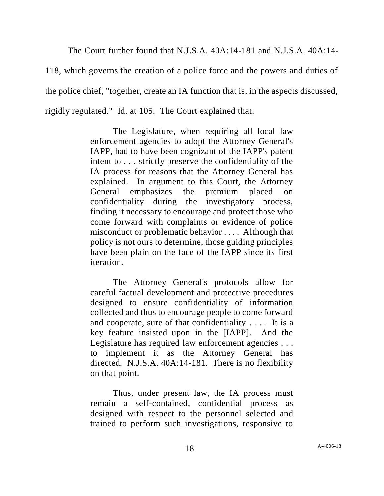The Court further found that N.J.S.A. 40A:14-181 and N.J.S.A. 40A:14-

118, which governs the creation of a police force and the powers and duties of the police chief, "together, create an IA function that is, in the aspects discussed, rigidly regulated." Id. at 105. The Court explained that:

> The Legislature, when requiring all local law enforcement agencies to adopt the Attorney General's IAPP, had to have been cognizant of the IAPP's patent intent to . . . strictly preserve the confidentiality of the IA process for reasons that the Attorney General has explained. In argument to this Court, the Attorney General emphasizes the premium placed on confidentiality during the investigatory process, finding it necessary to encourage and protect those who come forward with complaints or evidence of police misconduct or problematic behavior . . . . Although that policy is not ours to determine, those guiding principles have been plain on the face of the IAPP since its first iteration.

> The Attorney General's protocols allow for careful factual development and protective procedures designed to ensure confidentiality of information collected and thus to encourage people to come forward and cooperate, sure of that confidentiality . . . . It is a key feature insisted upon in the [IAPP]. And the Legislature has required law enforcement agencies . . . to implement it as the Attorney General has directed. N.J.S.A. 40A:14-181. There is no flexibility on that point.

> Thus, under present law, the IA process must remain a self-contained, confidential process as designed with respect to the personnel selected and trained to perform such investigations, responsive to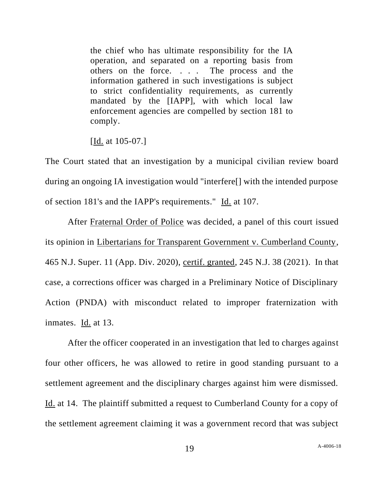the chief who has ultimate responsibility for the IA operation, and separated on a reporting basis from others on the force. . . . The process and the information gathered in such investigations is subject to strict confidentiality requirements, as currently mandated by the [IAPP], with which local law enforcement agencies are compelled by section 181 to comply.

[Id. at 105-07.]

The Court stated that an investigation by a municipal civilian review board during an ongoing IA investigation would "interfere[] with the intended purpose of section 181's and the IAPP's requirements." Id. at 107.

After Fraternal Order of Police was decided, a panel of this court issued its opinion in Libertarians for Transparent Government v. Cumberland County, 465 N.J. Super. 11 (App. Div. 2020), certif. granted, 245 N.J. 38 (2021). In that case, a corrections officer was charged in a Preliminary Notice of Disciplinary Action (PNDA) with misconduct related to improper fraternization with inmates. Id. at 13.

After the officer cooperated in an investigation that led to charges against four other officers, he was allowed to retire in good standing pursuant to a settlement agreement and the disciplinary charges against him were dismissed. Id. at 14. The plaintiff submitted a request to Cumberland County for a copy of the settlement agreement claiming it was a government record that was subject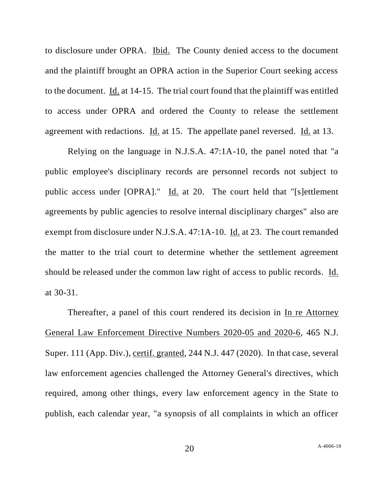to disclosure under OPRA. Ibid. The County denied access to the document and the plaintiff brought an OPRA action in the Superior Court seeking access to the document. Id. at 14-15. The trial court found that the plaintiff was entitled to access under OPRA and ordered the County to release the settlement agreement with redactions. Id. at 15. The appellate panel reversed. Id. at 13.

Relying on the language in N.J.S.A. 47:1A-10, the panel noted that "a public employee's disciplinary records are personnel records not subject to public access under [OPRA]." Id. at 20. The court held that "[s]ettlement agreements by public agencies to resolve internal disciplinary charges" also are exempt from disclosure under N.J.S.A. 47:1A-10. Id. at 23. The court remanded the matter to the trial court to determine whether the settlement agreement should be released under the common law right of access to public records. Id. at 30-31.

Thereafter, a panel of this court rendered its decision in In re Attorney General Law Enforcement Directive Numbers 2020-05 and 2020-6, 465 N.J. Super. 111 (App. Div.), certif. granted, 244 N.J. 447 (2020). In that case, several law enforcement agencies challenged the Attorney General's directives, which required, among other things, every law enforcement agency in the State to publish, each calendar year, "a synopsis of all complaints in which an officer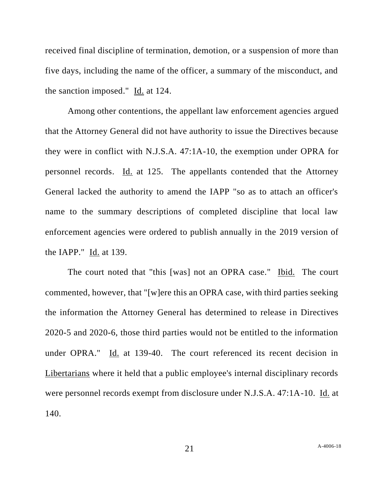received final discipline of termination, demotion, or a suspension of more than five days, including the name of the officer, a summary of the misconduct, and the sanction imposed." Id. at 124.

Among other contentions, the appellant law enforcement agencies argued that the Attorney General did not have authority to issue the Directives because they were in conflict with N.J.S.A. 47:1A-10, the exemption under OPRA for personnel records. Id. at 125. The appellants contended that the Attorney General lacked the authority to amend the IAPP "so as to attach an officer's name to the summary descriptions of completed discipline that local law enforcement agencies were ordered to publish annually in the 2019 version of the IAPP." Id. at 139.

The court noted that "this [was] not an OPRA case." Ibid. The court commented, however, that "[w]ere this an OPRA case, with third parties seeking the information the Attorney General has determined to release in Directives 2020-5 and 2020-6, those third parties would not be entitled to the information under OPRA." Id. at 139-40. The court referenced its recent decision in Libertarians where it held that a public employee's internal disciplinary records were personnel records exempt from disclosure under N.J.S.A. 47:1A-10. Id. at 140.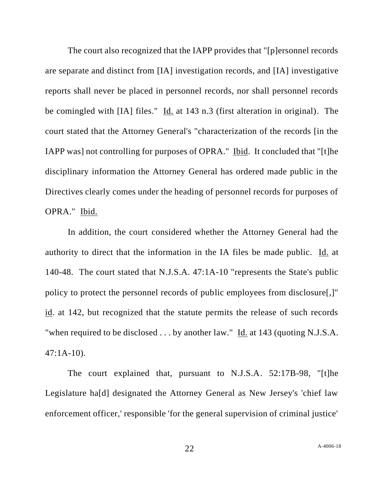The court also recognized that the IAPP provides that "[p]ersonnel records are separate and distinct from [IA] investigation records, and [IA] investigative reports shall never be placed in personnel records, nor shall personnel records be comingled with [IA] files." Id. at 143 n.3 (first alteration in original). The court stated that the Attorney General's "characterization of the records [in the IAPP was] not controlling for purposes of OPRA." Ibid. It concluded that "[t]he disciplinary information the Attorney General has ordered made public in the Directives clearly comes under the heading of personnel records for purposes of OPRA." Ibid.

In addition, the court considered whether the Attorney General had the authority to direct that the information in the IA files be made public. Id. at 140-48. The court stated that N.J.S.A. 47:1A-10 "represents the State's public policy to protect the personnel records of public employees from disclosure[,]" id. at 142, but recognized that the statute permits the release of such records "when required to be disclosed . . . by another law." Id. at 143 (quoting N.J.S.A. 47:1A-10).

The court explained that, pursuant to N.J.S.A. 52:17B-98, "[t]he Legislature ha[d] designated the Attorney General as New Jersey's 'chief law enforcement officer,' responsible 'for the general supervision of criminal justice'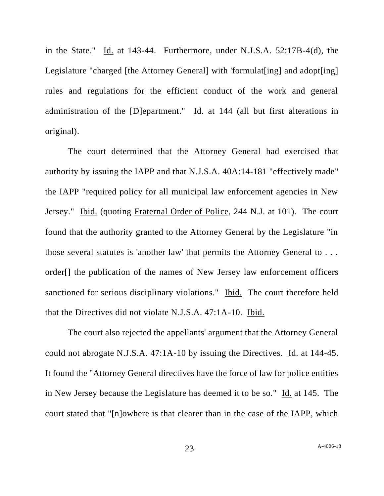in the State." Id. at 143-44. Furthermore, under N.J.S.A. 52:17B-4(d), the Legislature "charged [the Attorney General] with 'formulat<sup>[ing]</sup> and adopt<sup>[ing]</sup> rules and regulations for the efficient conduct of the work and general administration of the [D]epartment." Id. at 144 (all but first alterations in original).

The court determined that the Attorney General had exercised that authority by issuing the IAPP and that N.J.S.A. 40A:14-181 "effectively made" the IAPP "required policy for all municipal law enforcement agencies in New Jersey." Ibid. (quoting Fraternal Order of Police, 244 N.J. at 101). The court found that the authority granted to the Attorney General by the Legislature "in those several statutes is 'another law' that permits the Attorney General to . . . order[] the publication of the names of New Jersey law enforcement officers sanctioned for serious disciplinary violations." Ibid. The court therefore held that the Directives did not violate N.J.S.A. 47:1A-10. Ibid.

The court also rejected the appellants' argument that the Attorney General could not abrogate N.J.S.A. 47:1A-10 by issuing the Directives. Id. at 144-45. It found the "Attorney General directives have the force of law for police entities in New Jersey because the Legislature has deemed it to be so." Id. at 145. The court stated that "[n]owhere is that clearer than in the case of the IAPP, which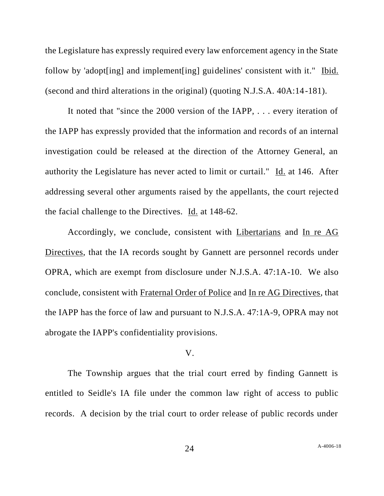the Legislature has expressly required every law enforcement agency in the State follow by 'adopt[ing] and implement[ing] guidelines' consistent with it." Ibid. (second and third alterations in the original) (quoting N.J.S.A. 40A:14-181).

It noted that "since the 2000 version of the IAPP, . . . every iteration of the IAPP has expressly provided that the information and records of an internal investigation could be released at the direction of the Attorney General, an authority the Legislature has never acted to limit or curtail." Id. at 146. After addressing several other arguments raised by the appellants, the court rejected the facial challenge to the Directives. Id. at 148-62.

Accordingly, we conclude, consistent with Libertarians and In re AG Directives, that the IA records sought by Gannett are personnel records under OPRA, which are exempt from disclosure under N.J.S.A. 47:1A-10. We also conclude, consistent with Fraternal Order of Police and In re AG Directives, that the IAPP has the force of law and pursuant to N.J.S.A. 47:1A-9, OPRA may not abrogate the IAPP's confidentiality provisions.

#### V.

The Township argues that the trial court erred by finding Gannett is entitled to Seidle's IA file under the common law right of access to public records. A decision by the trial court to order release of public records under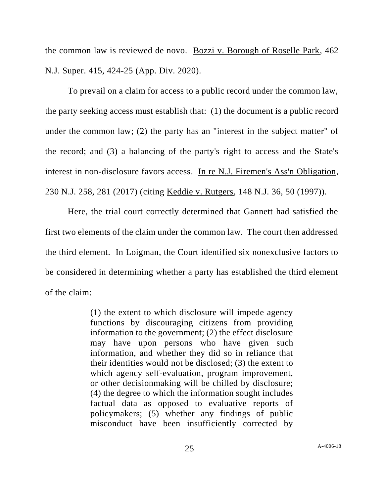the common law is reviewed de novo. Bozzi v. Borough of Roselle Park, 462 N.J. Super. 415, 424-25 (App. Div. 2020).

To prevail on a claim for access to a public record under the common law, the party seeking access must establish that: (1) the document is a public record under the common law; (2) the party has an "interest in the subject matter" of the record; and (3) a balancing of the party's right to access and the State's interest in non-disclosure favors access. In re N.J. Firemen's Ass'n Obligation, 230 N.J. 258, 281 (2017) (citing Keddie v. Rutgers, 148 N.J. 36, 50 (1997)).

Here, the trial court correctly determined that Gannett had satisfied the first two elements of the claim under the common law. The court then addressed the third element. In Loigman, the Court identified six nonexclusive factors to be considered in determining whether a party has established the third element of the claim:

> (1) the extent to which disclosure will impede agency functions by discouraging citizens from providing information to the government; (2) the effect disclosure may have upon persons who have given such information, and whether they did so in reliance that their identities would not be disclosed; (3) the extent to which agency self-evaluation, program improvement, or other decisionmaking will be chilled by disclosure; (4) the degree to which the information sought includes factual data as opposed to evaluative reports of policymakers; (5) whether any findings of public misconduct have been insufficiently corrected by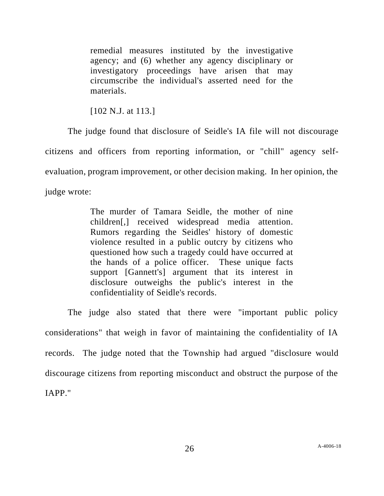remedial measures instituted by the investigative agency; and (6) whether any agency disciplinary or investigatory proceedings have arisen that may circumscribe the individual's asserted need for the materials.

[102 N.J. at 113.]

The judge found that disclosure of Seidle's IA file will not discourage citizens and officers from reporting information, or "chill" agency selfevaluation, program improvement, or other decision making. In her opinion, the judge wrote:

> The murder of Tamara Seidle, the mother of nine children[,] received widespread media attention. Rumors regarding the Seidles' history of domestic violence resulted in a public outcry by citizens who questioned how such a tragedy could have occurred at the hands of a police officer. These unique facts support [Gannett's] argument that its interest in disclosure outweighs the public's interest in the confidentiality of Seidle's records.

The judge also stated that there were "important public policy considerations" that weigh in favor of maintaining the confidentiality of IA records. The judge noted that the Township had argued "disclosure would discourage citizens from reporting misconduct and obstruct the purpose of the IAPP."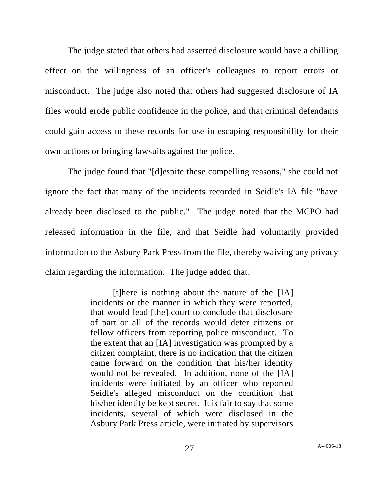The judge stated that others had asserted disclosure would have a chilling effect on the willingness of an officer's colleagues to report errors or misconduct. The judge also noted that others had suggested disclosure of IA files would erode public confidence in the police, and that criminal defendants could gain access to these records for use in escaping responsibility for their own actions or bringing lawsuits against the police.

The judge found that "[d]espite these compelling reasons," she could not ignore the fact that many of the incidents recorded in Seidle's IA file "have already been disclosed to the public." The judge noted that the MCPO had released information in the file, and that Seidle had voluntarily provided information to the Asbury Park Press from the file, thereby waiving any privacy claim regarding the information. The judge added that:

> [t]here is nothing about the nature of the [IA] incidents or the manner in which they were reported, that would lead [the] court to conclude that disclosure of part or all of the records would deter citizens or fellow officers from reporting police misconduct. To the extent that an [IA] investigation was prompted by a citizen complaint, there is no indication that the citizen came forward on the condition that his/her identity would not be revealed. In addition, none of the [IA] incidents were initiated by an officer who reported Seidle's alleged misconduct on the condition that his/her identity be kept secret. It is fair to say that some incidents, several of which were disclosed in the Asbury Park Press article, were initiated by supervisors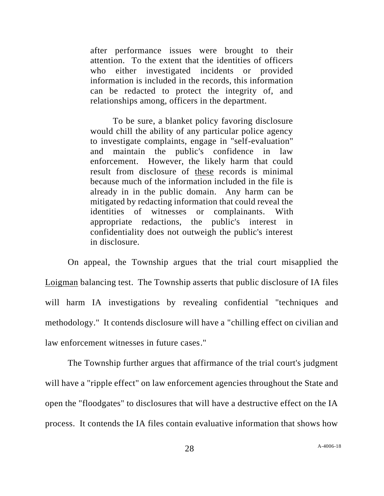after performance issues were brought to their attention. To the extent that the identities of officers who either investigated incidents or provided information is included in the records, this information can be redacted to protect the integrity of, and relationships among, officers in the department.

To be sure, a blanket policy favoring disclosure would chill the ability of any particular police agency to investigate complaints, engage in "self-evaluation" and maintain the public's confidence in law enforcement. However, the likely harm that could result from disclosure of these records is minimal because much of the information included in the file is already in in the public domain. Any harm can be mitigated by redacting information that could reveal the identities of witnesses or complainants. With appropriate redactions, the public's interest in confidentiality does not outweigh the public's interest in disclosure.

On appeal, the Township argues that the trial court misapplied the Loigman balancing test. The Township asserts that public disclosure of IA files will harm IA investigations by revealing confidential "techniques and methodology." It contends disclosure will have a "chilling effect on civilian and law enforcement witnesses in future cases."

The Township further argues that affirmance of the trial court's judgment will have a "ripple effect" on law enforcement agencies throughout the State and open the "floodgates" to disclosures that will have a destructive effect on the IA process. It contends the IA files contain evaluative information that shows how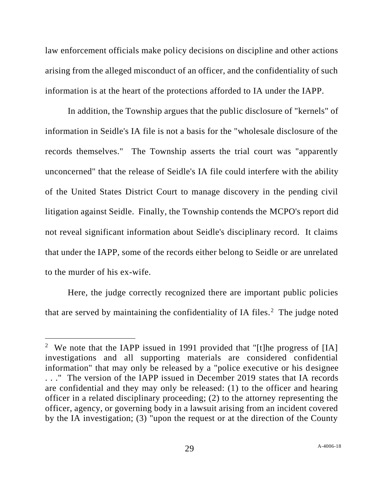law enforcement officials make policy decisions on discipline and other actions arising from the alleged misconduct of an officer, and the confidentiality of such information is at the heart of the protections afforded to IA under the IAPP.

In addition, the Township argues that the public disclosure of "kernels" of information in Seidle's IA file is not a basis for the "wholesale disclosure of the records themselves." The Township asserts the trial court was "apparently unconcerned" that the release of Seidle's IA file could interfere with the ability of the United States District Court to manage discovery in the pending civil litigation against Seidle. Finally, the Township contends the MCPO's report did not reveal significant information about Seidle's disciplinary record. It claims that under the IAPP, some of the records either belong to Seidle or are unrelated to the murder of his ex-wife.

Here, the judge correctly recognized there are important public policies that are served by maintaining the confidentiality of IA files. $<sup>2</sup>$  The judge noted</sup>

<sup>&</sup>lt;sup>2</sup> We note that the IAPP issued in 1991 provided that "[t]he progress of [IA] investigations and all supporting materials are considered confidential information" that may only be released by a "police executive or his designee . . ." The version of the IAPP issued in December 2019 states that IA records are confidential and they may only be released: (1) to the officer and hearing officer in a related disciplinary proceeding; (2) to the attorney representing the officer, agency, or governing body in a lawsuit arising from an incident covered by the IA investigation; (3) "upon the request or at the direction of the County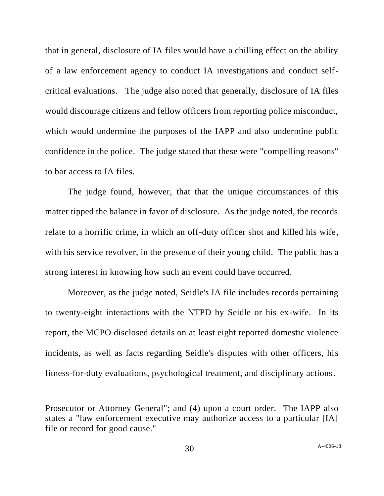that in general, disclosure of IA files would have a chilling effect on the ability of a law enforcement agency to conduct IA investigations and conduct selfcritical evaluations. The judge also noted that generally, disclosure of IA files would discourage citizens and fellow officers from reporting police misconduct, which would undermine the purposes of the IAPP and also undermine public confidence in the police. The judge stated that these were "compelling reasons" to bar access to IA files.

The judge found, however, that that the unique circumstances of this matter tipped the balance in favor of disclosure. As the judge noted, the records relate to a horrific crime, in which an off-duty officer shot and killed his wife, with his service revolver, in the presence of their young child. The public has a strong interest in knowing how such an event could have occurred.

Moreover, as the judge noted, Seidle's IA file includes records pertaining to twenty-eight interactions with the NTPD by Seidle or his ex-wife. In its report, the MCPO disclosed details on at least eight reported domestic violence incidents, as well as facts regarding Seidle's disputes with other officers, his fitness-for-duty evaluations, psychological treatment, and disciplinary actions.

Prosecutor or Attorney General"; and (4) upon a court order. The IAPP also states a "law enforcement executive may authorize access to a particular [IA] file or record for good cause."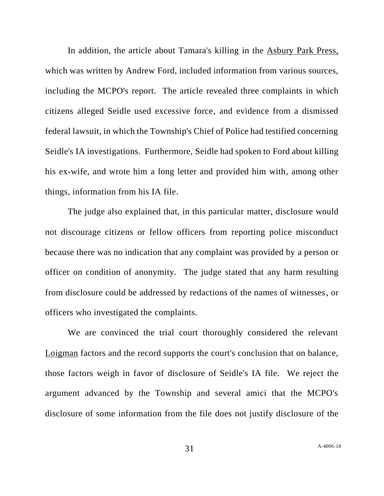In addition, the article about Tamara's killing in the Asbury Park Press, which was written by Andrew Ford, included information from various sources, including the MCPO's report. The article revealed three complaints in which citizens alleged Seidle used excessive force, and evidence from a dismissed federal lawsuit, in which the Township's Chief of Police had testified concerning Seidle's IA investigations. Furthermore, Seidle had spoken to Ford about killing his ex-wife, and wrote him a long letter and provided him with, among other things, information from his IA file.

The judge also explained that, in this particular matter, disclosure would not discourage citizens or fellow officers from reporting police misconduct because there was no indication that any complaint was provided by a person or officer on condition of anonymity. The judge stated that any harm resulting from disclosure could be addressed by redactions of the names of witnesses, or officers who investigated the complaints.

We are convinced the trial court thoroughly considered the relevant Loigman factors and the record supports the court's conclusion that on balance, those factors weigh in favor of disclosure of Seidle's IA file. We reject the argument advanced by the Township and several amici that the MCPO's disclosure of some information from the file does not justify disclosure of the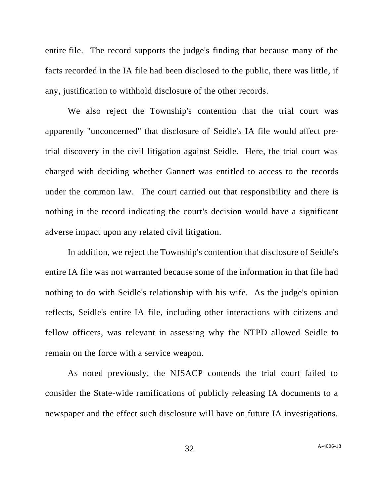entire file. The record supports the judge's finding that because many of the facts recorded in the IA file had been disclosed to the public, there was little, if any, justification to withhold disclosure of the other records.

We also reject the Township's contention that the trial court was apparently "unconcerned" that disclosure of Seidle's IA file would affect pretrial discovery in the civil litigation against Seidle. Here, the trial court was charged with deciding whether Gannett was entitled to access to the records under the common law. The court carried out that responsibility and there is nothing in the record indicating the court's decision would have a significant adverse impact upon any related civil litigation.

In addition, we reject the Township's contention that disclosure of Seidle's entire IA file was not warranted because some of the information in that file had nothing to do with Seidle's relationship with his wife. As the judge's opinion reflects, Seidle's entire IA file, including other interactions with citizens and fellow officers, was relevant in assessing why the NTPD allowed Seidle to remain on the force with a service weapon.

As noted previously, the NJSACP contends the trial court failed to consider the State-wide ramifications of publicly releasing IA documents to a newspaper and the effect such disclosure will have on future IA investigations.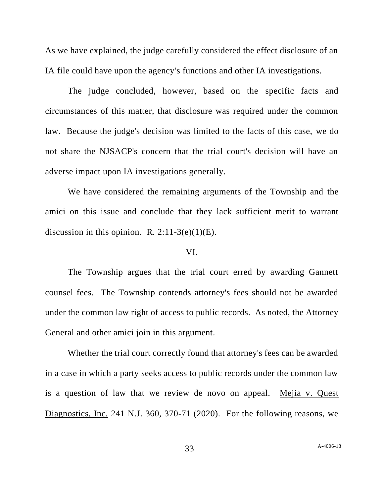As we have explained, the judge carefully considered the effect disclosure of an IA file could have upon the agency's functions and other IA investigations.

The judge concluded, however, based on the specific facts and circumstances of this matter, that disclosure was required under the common law. Because the judge's decision was limited to the facts of this case, we do not share the NJSACP's concern that the trial court's decision will have an adverse impact upon IA investigations generally.

We have considered the remaining arguments of the Township and the amici on this issue and conclude that they lack sufficient merit to warrant discussion in this opinion. R.  $2:11-3(e)(1)(E)$ .

### VI.

The Township argues that the trial court erred by awarding Gannett counsel fees. The Township contends attorney's fees should not be awarded under the common law right of access to public records. As noted, the Attorney General and other amici join in this argument.

Whether the trial court correctly found that attorney's fees can be awarded in a case in which a party seeks access to public records under the common law is a question of law that we review de novo on appeal. Mejia v. Quest Diagnostics, Inc. 241 N.J. 360, 370-71 (2020). For the following reasons, we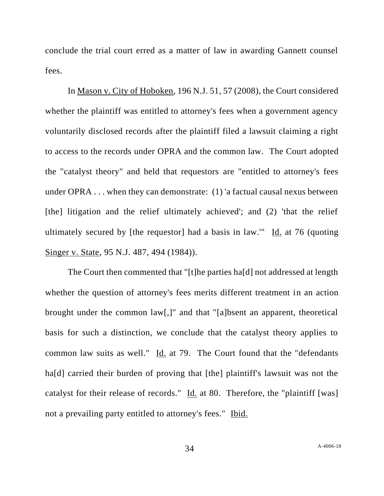conclude the trial court erred as a matter of law in awarding Gannett counsel fees.

In Mason v. City of Hoboken, 196 N.J. 51, 57 (2008), the Court considered whether the plaintiff was entitled to attorney's fees when a government agency voluntarily disclosed records after the plaintiff filed a lawsuit claiming a right to access to the records under OPRA and the common law. The Court adopted the "catalyst theory" and held that requestors are "entitled to attorney's fees under OPRA . . . when they can demonstrate: (1) 'a factual causal nexus between [the] litigation and the relief ultimately achieved'; and (2) 'that the relief ultimately secured by [the requestor] had a basis in law.'" Id. at 76 (quoting Singer v. State, 95 N.J. 487, 494 (1984)).

The Court then commented that "[t]he parties ha[d] not addressed at length whether the question of attorney's fees merits different treatment in an action brought under the common law[,]" and that "[a]bsent an apparent, theoretical basis for such a distinction, we conclude that the catalyst theory applies to common law suits as well."  $\underline{Id}$ . at 79. The Court found that the "defendants" ha<sup>[d]</sup> carried their burden of proving that [the] plaintiff's lawsuit was not the catalyst for their release of records." Id. at 80. Therefore, the "plaintiff [was] not a prevailing party entitled to attorney's fees." Ibid.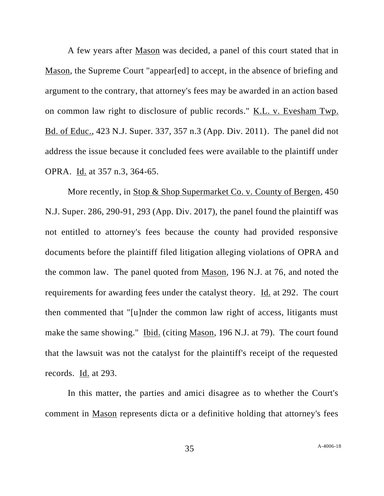A few years after Mason was decided, a panel of this court stated that in Mason, the Supreme Court "appear[ed] to accept, in the absence of briefing and argument to the contrary, that attorney's fees may be awarded in an action based on common law right to disclosure of public records." K.L. v. Evesham Twp. Bd. of Educ., 423 N.J. Super. 337, 357 n.3 (App. Div. 2011). The panel did not address the issue because it concluded fees were available to the plaintiff under OPRA. Id. at 357 n.3, 364-65.

More recently, in Stop & Shop Supermarket Co. v. County of Bergen, 450 N.J. Super. 286, 290-91, 293 (App. Div. 2017), the panel found the plaintiff was not entitled to attorney's fees because the county had provided responsive documents before the plaintiff filed litigation alleging violations of OPRA and the common law. The panel quoted from Mason, 196 N.J. at 76, and noted the requirements for awarding fees under the catalyst theory. Id. at 292. The court then commented that "[u]nder the common law right of access, litigants must make the same showing." Ibid. (citing Mason, 196 N.J. at 79). The court found that the lawsuit was not the catalyst for the plaintiff's receipt of the requested records. Id. at 293.

In this matter, the parties and amici disagree as to whether the Court's comment in Mason represents dicta or a definitive holding that attorney's fees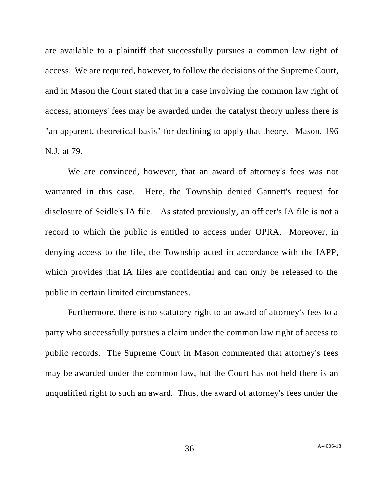are available to a plaintiff that successfully pursues a common law right of access. We are required, however, to follow the decisions of the Supreme Court, and in Mason the Court stated that in a case involving the common law right of access, attorneys' fees may be awarded under the catalyst theory unless there is "an apparent, theoretical basis" for declining to apply that theory. Mason, 196 N.J. at 79.

We are convinced, however, that an award of attorney's fees was not warranted in this case. Here, the Township denied Gannett's request for disclosure of Seidle's IA file. As stated previously, an officer's IA file is not a record to which the public is entitled to access under OPRA. Moreover, in denying access to the file, the Township acted in accordance with the IAPP, which provides that IA files are confidential and can only be released to the public in certain limited circumstances.

Furthermore, there is no statutory right to an award of attorney's fees to a party who successfully pursues a claim under the common law right of access to public records. The Supreme Court in Mason commented that attorney's fees may be awarded under the common law, but the Court has not held there is an unqualified right to such an award. Thus, the award of attorney's fees under the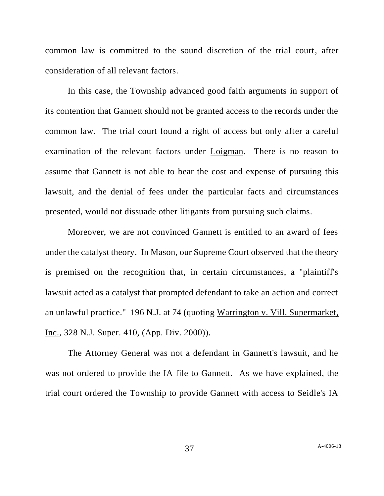common law is committed to the sound discretion of the trial court, after consideration of all relevant factors.

In this case, the Township advanced good faith arguments in support of its contention that Gannett should not be granted access to the records under the common law. The trial court found a right of access but only after a careful examination of the relevant factors under Loigman. There is no reason to assume that Gannett is not able to bear the cost and expense of pursuing this lawsuit, and the denial of fees under the particular facts and circumstances presented, would not dissuade other litigants from pursuing such claims.

Moreover, we are not convinced Gannett is entitled to an award of fees under the catalyst theory. In Mason, our Supreme Court observed that the theory is premised on the recognition that, in certain circumstances, a "plaintiff's lawsuit acted as a catalyst that prompted defendant to take an action and correct an unlawful practice." 196 N.J. at 74 (quoting Warrington v. Vill. Supermarket, Inc., 328 N.J. Super. 410, (App. Div. 2000)).

The Attorney General was not a defendant in Gannett's lawsuit, and he was not ordered to provide the IA file to Gannett. As we have explained, the trial court ordered the Township to provide Gannett with access to Seidle's IA